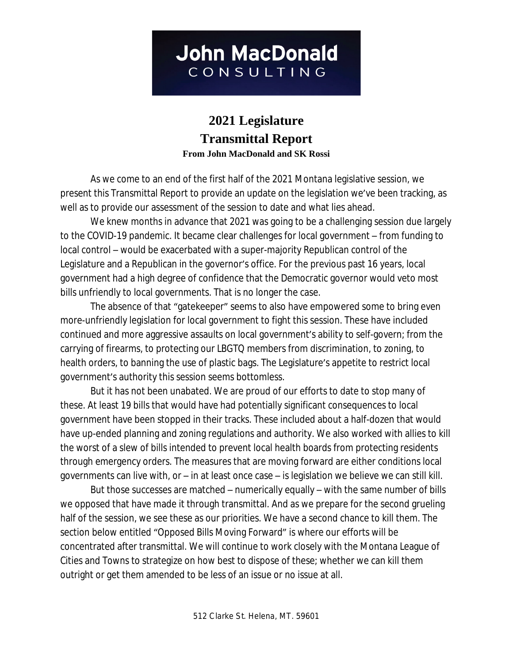# **2021 Legislature Transmittal Report From John MacDonald and SK Rossi**

As we come to an end of the first half of the 2021 Montana legislative session, we present this Transmittal Report to provide an update on the legislation we've been tracking, as well as to provide our assessment of the session to date and what lies ahead.

We knew months in advance that 2021 was going to be a challenging session due largely to the COVID-19 pandemic. It became clear challenges for local government – from funding to local control – would be exacerbated with a super-majority Republican control of the Legislature and a Republican in the governor's office. For the previous past 16 years, local government had a high degree of confidence that the Democratic governor would veto most bills unfriendly to local governments. That is no longer the case.

The absence of that "gatekeeper" seems to also have empowered some to bring even more-unfriendly legislation for local government to fight this session. These have included continued and more aggressive assaults on local government's ability to self-govern; from the carrying of firearms, to protecting our LBGTQ members from discrimination, to zoning, to health orders, to banning the use of plastic bags. The Legislature's appetite to restrict local government's authority this session seems bottomless.

But it has not been unabated. We are proud of our efforts to date to stop many of these. At least 19 bills that would have had potentially significant consequences to local government have been stopped in their tracks. These included about a half-dozen that would have up-ended planning and zoning regulations and authority. We also worked with allies to kill the worst of a slew of bills intended to prevent local health boards from protecting residents through emergency orders. The measures that are moving forward are either conditions local governments can live with, or – in at least once case – is legislation we believe we can still kill.

But those successes are matched – numerically equally – with the same number of bills we opposed that have made it through transmittal. And as we prepare for the second grueling half of the session, we see these as our priorities. We have a second chance to kill them. The section below entitled "Opposed Bills Moving Forward" is where our efforts will be concentrated after transmittal. We will continue to work closely with the Montana League of Cities and Towns to strategize on how best to dispose of these; whether we can kill them outright or get them amended to be less of an issue or no issue at all.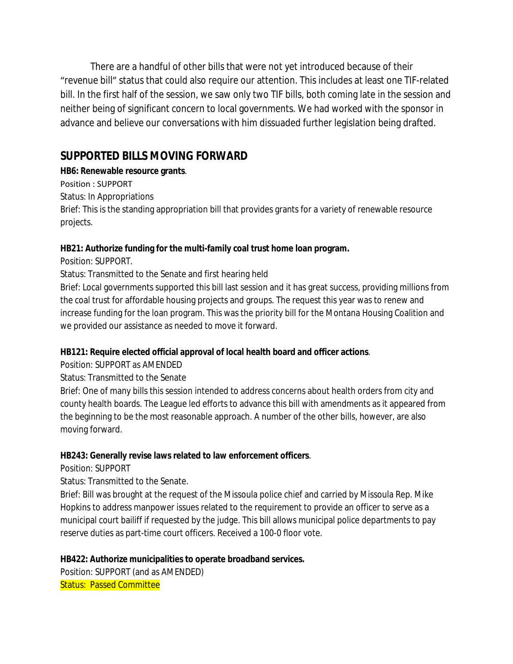There are a handful of other bills that were not yet introduced because of their "revenue bill" status that could also require our attention. This includes at least one TIF-related bill. In the first half of the session, we saw only two TIF bills, both coming late in the session and neither being of significant concern to local governments. We had worked with the sponsor in advance and believe our conversations with him dissuaded further legislation being drafted.

# **SUPPORTED BILLS MOVING FORWARD**

# **HB6: Renewable resource grants**.

Position : SUPPORT

Status: In Appropriations

Brief: This is the standing appropriation bill that provides grants for a variety of renewable resource projects.

# **HB21: Authorize funding for the multi-family coal trust home loan program.**

Position: SUPPORT.

Status: Transmitted to the Senate and first hearing held

Brief: Local governments supported this bill last session and it has great success, providing millions from the coal trust for affordable housing projects and groups. The request this year was to renew and increase funding for the loan program. This was the priority bill for the Montana Housing Coalition and we provided our assistance as needed to move it forward.

# **HB121: Require elected official approval of local health board and officer actions**.

Position: SUPPORT as AMENDED

Status: Transmitted to the Senate

Brief: One of many bills this session intended to address concerns about health orders from city and county health boards. The League led efforts to advance this bill with amendments as it appeared from the beginning to be the most reasonable approach. A number of the other bills, however, are also moving forward.

# **HB243: Generally revise laws related to law enforcement officers**.

Position: SUPPORT

Status: Transmitted to the Senate.

Brief: Bill was brought at the request of the Missoula police chief and carried by Missoula Rep. Mike Hopkins to address manpower issues related to the requirement to provide an officer to serve as a municipal court bailiff if requested by the judge. This bill allows municipal police departments to pay reserve duties as part-time court officers. Received a 100-0 floor vote.

# **HB422: Authorize municipalities to operate broadband services.**

Position: SUPPORT (and as AMENDED) Status: Passed Committee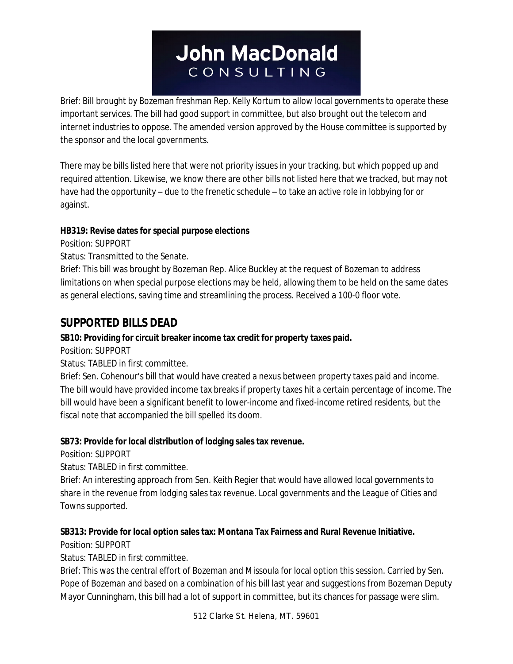Brief: Bill brought by Bozeman freshman Rep. Kelly Kortum to allow local governments to operate these important services. The bill had good support in committee, but also brought out the telecom and internet industries to oppose. The amended version approved by the House committee is supported by the sponsor and the local governments.

There may be bills listed here that were not priority issues in your tracking, but which popped up and required attention. Likewise, we know there are other bills not listed here that we tracked, but may not have had the opportunity – due to the frenetic schedule – to take an active role in lobbying for or against.

## **HB319: Revise dates for special purpose elections**

Position: SUPPORT

Status: Transmitted to the Senate.

Brief: This bill was brought by Bozeman Rep. Alice Buckley at the request of Bozeman to address limitations on when special purpose elections may be held, allowing them to be held on the same dates as general elections, saving time and streamlining the process. Received a 100-0 floor vote.

# **SUPPORTED BILLS DEAD**

# **SB10: Providing for circuit breaker income tax credit for property taxes paid.**

Position: SUPPORT

Status: TABLED in first committee.

Brief: Sen. Cohenour's bill that would have created a nexus between property taxes paid and income. The bill would have provided income tax breaks if property taxes hit a certain percentage of income. The bill would have been a significant benefit to lower-income and fixed-income retired residents, but the fiscal note that accompanied the bill spelled its doom.

# **SB73: Provide for local distribution of lodging sales tax revenue.**

Position: SUPPORT

Status: TABLED in first committee.

Brief: An interesting approach from Sen. Keith Regier that would have allowed local governments to share in the revenue from lodging sales tax revenue. Local governments and the League of Cities and Towns supported.

# **SB313: Provide for local option sales tax: Montana Tax Fairness and Rural Revenue Initiative.**

Position: SUPPORT

Status: TABLED in first committee.

Brief: This was the central effort of Bozeman and Missoula for local option this session. Carried by Sen. Pope of Bozeman and based on a combination of his bill last year and suggestions from Bozeman Deputy Mayor Cunningham, this bill had a lot of support in committee, but its chances for passage were slim.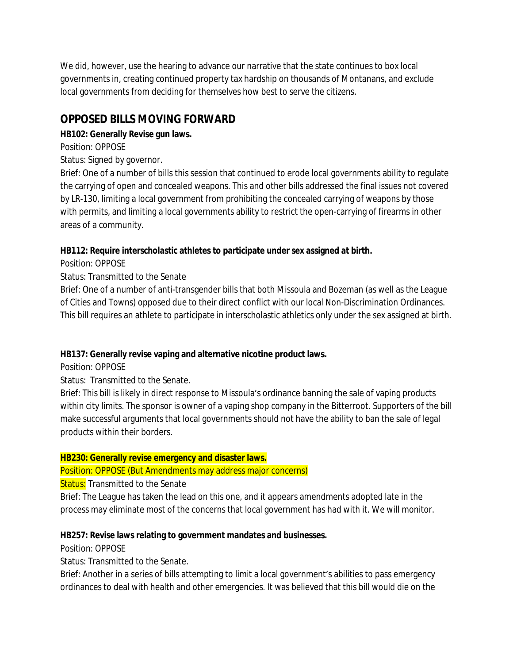We did, however, use the hearing to advance our narrative that the state continues to box local governments in, creating continued property tax hardship on thousands of Montanans, and exclude local governments from deciding for themselves how best to serve the citizens.

# **OPPOSED BILLS MOVING FORWARD**

# **HB102: Generally Revise gun laws.**

Position: OPPOSE

# Status: Signed by governor.

Brief: One of a number of bills this session that continued to erode local governments ability to regulate the carrying of open and concealed weapons. This and other bills addressed the final issues not covered by LR-130, limiting a local government from prohibiting the concealed carrying of weapons by those with permits, and limiting a local governments ability to restrict the open-carrying of firearms in other areas of a community.

# **HB112: Require interscholastic athletes to participate under sex assigned at birth.**

Position: OPPOSE

## Status: Transmitted to the Senate

Brief: One of a number of anti-transgender bills that both Missoula and Bozeman (as well as the League of Cities and Towns) opposed due to their direct conflict with our local Non-Discrimination Ordinances. This bill requires an athlete to participate in interscholastic athletics only under the sex assigned at birth.

# **HB137: Generally revise vaping and alternative nicotine product laws.**

Position: OPPOSE

# Status: Transmitted to the Senate.

Brief: This bill is likely in direct response to Missoula's ordinance banning the sale of vaping products within city limits. The sponsor is owner of a vaping shop company in the Bitterroot. Supporters of the bill make successful arguments that local governments should not have the ability to ban the sale of legal products within their borders.

#### **HB230: Generally revise emergency and disaster laws.**

# Position: OPPOSE (But Amendments may address major concerns)

#### Status: Transmitted to the Senate

Brief: The League has taken the lead on this one, and it appears amendments adopted late in the process may eliminate most of the concerns that local government has had with it. We will monitor.

# **HB257: Revise laws relating to government mandates and businesses.**

Position: OPPOSE

Status: Transmitted to the Senate.

Brief: Another in a series of bills attempting to limit a local government's abilities to pass emergency ordinances to deal with health and other emergencies. It was believed that this bill would die on the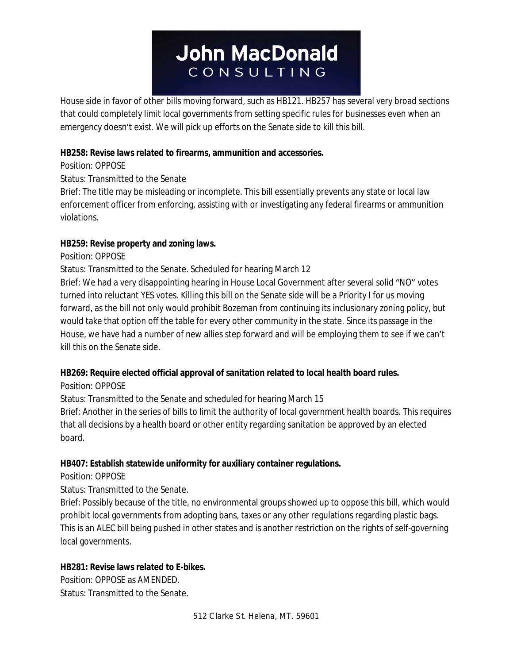House side in favor of other bills moving forward, such as HB121. HB257 has several very broad sections that could completely limit local governments from setting specific rules for businesses even when an emergency doesn't exist. We will pick up efforts on the Senate side to kill this bill.

#### **HB258: Revise laws related to firearms, ammunition and accessories.**

Position: OPPOSE

Status: Transmitted to the Senate

Brief: The title may be misleading or incomplete. This bill essentially prevents any state or local law enforcement officer from enforcing, assisting with or investigating any federal firearms or ammunition violations.

## **HB259: Revise property and zoning laws.**

Position: OPPOSE

Status: Transmitted to the Senate. Scheduled for hearing March 12

Brief: We had a very disappointing hearing in House Local Government after several solid "NO" votes turned into reluctant YES votes. Killing this bill on the Senate side will be a Priority I for us moving forward, as the bill not only would prohibit Bozeman from continuing its inclusionary zoning policy, but would take that option off the table for every other community in the state. Since its passage in the House, we have had a number of new allies step forward and will be employing them to see if we can't kill this on the Senate side.

# **HB269: Require elected official approval of sanitation related to local health board rules.**

Position: OPPOSE

Status: Transmitted to the Senate and scheduled for hearing March 15

Brief: Another in the series of bills to limit the authority of local government health boards. This requires that all decisions by a health board or other entity regarding sanitation be approved by an elected board.

# **HB407: Establish statewide uniformity for auxiliary container regulations.**

Position: OPPOSE

Status: Transmitted to the Senate.

Brief: Possibly because of the title, no environmental groups showed up to oppose this bill, which would prohibit local governments from adopting bans, taxes or any other regulations regarding plastic bags. This is an ALEC bill being pushed in other states and is another restriction on the rights of self-governing local governments.

# **HB281: Revise laws related to E-bikes.**

Position: OPPOSE as AMENDED. Status: Transmitted to the Senate.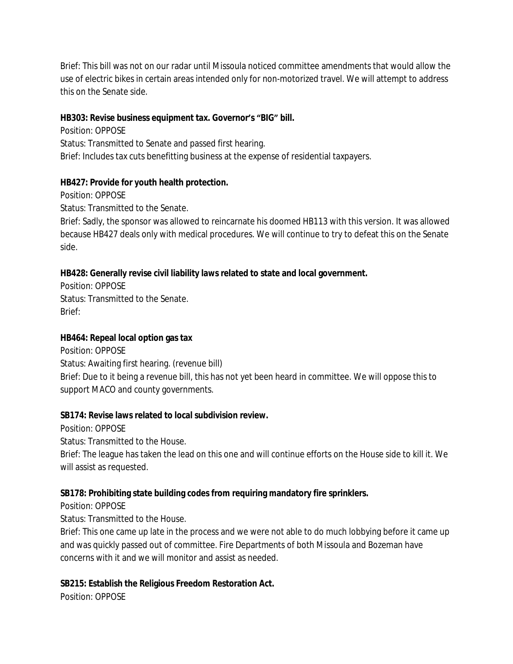Brief: This bill was not on our radar until Missoula noticed committee amendments that would allow the use of electric bikes in certain areas intended only for non-motorized travel. We will attempt to address this on the Senate side.

#### **HB303: Revise business equipment tax. Governor's "BIG" bill.**

Position: OPPOSE Status: Transmitted to Senate and passed first hearing. Brief: Includes tax cuts benefitting business at the expense of residential taxpayers.

#### **HB427: Provide for youth health protection.**

Position: OPPOSE

Status: Transmitted to the Senate.

Brief: Sadly, the sponsor was allowed to reincarnate his doomed HB113 with this version. It was allowed because HB427 deals only with medical procedures. We will continue to try to defeat this on the Senate side.

# **HB428: Generally revise civil liability laws related to state and local government.**

Position: OPPOSE Status: Transmitted to the Senate. Brief:

#### **HB464: Repeal local option gas tax**

Position: OPPOSE Status: Awaiting first hearing. (revenue bill) Brief: Due to it being a revenue bill, this has not yet been heard in committee. We will oppose this to support MACO and county governments.

#### **SB174: Revise laws related to local subdivision review.**

Position: OPPOSE

Status: Transmitted to the House.

Brief: The league has taken the lead on this one and will continue efforts on the House side to kill it. We will assist as requested.

#### **SB178: Prohibiting state building codes from requiring mandatory fire sprinklers.**

Position: OPPOSE

Status: Transmitted to the House.

Brief: This one came up late in the process and we were not able to do much lobbying before it came up and was quickly passed out of committee. Fire Departments of both Missoula and Bozeman have concerns with it and we will monitor and assist as needed.

#### **SB215: Establish the Religious Freedom Restoration Act.**

Position: OPPOSE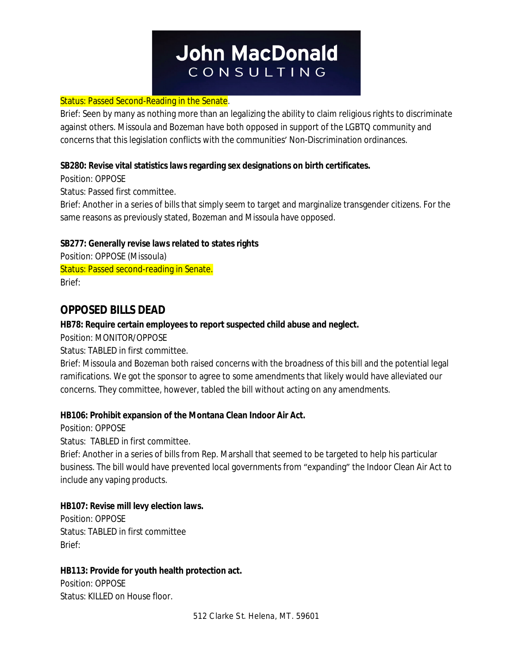#### **Status: Passed Second-Reading in the Senate.**

Brief: Seen by many as nothing more than an legalizing the ability to claim religious rights to discriminate against others. Missoula and Bozeman have both opposed in support of the LGBTQ community and concerns that this legislation conflicts with the communities' Non-Discrimination ordinances.

#### **SB280: Revise vital statistics laws regarding sex designations on birth certificates.**

Position: OPPOSE

Status: Passed first committee.

Brief: Another in a series of bills that simply seem to target and marginalize transgender citizens. For the same reasons as previously stated, Bozeman and Missoula have opposed.

#### **SB277: Generally revise laws related to states rights**

Position: OPPOSE (Missoula) Status: Passed second-reading in Senate. Brief:

# **OPPOSED BILLS DEAD**

#### **HB78: Require certain employees to report suspected child abuse and neglect.**

Position: MONITOR/OPPOSE

Status: TABLED in first committee.

Brief: Missoula and Bozeman both raised concerns with the broadness of this bill and the potential legal ramifications. We got the sponsor to agree to some amendments that likely would have alleviated our concerns. They committee, however, tabled the bill without acting on any amendments.

#### **HB106: Prohibit expansion of the Montana Clean Indoor Air Act.**

Position: OPPOSE

Status: TABLED in first committee.

Brief: Another in a series of bills from Rep. Marshall that seemed to be targeted to help his particular business. The bill would have prevented local governments from "expanding" the Indoor Clean Air Act to include any vaping products.

#### **HB107: Revise mill levy election laws.**

Position: OPPOSE Status: TABLED in first committee Brief:

#### **HB113: Provide for youth health protection act.**

Position: OPPOSE Status: KILLED on House floor.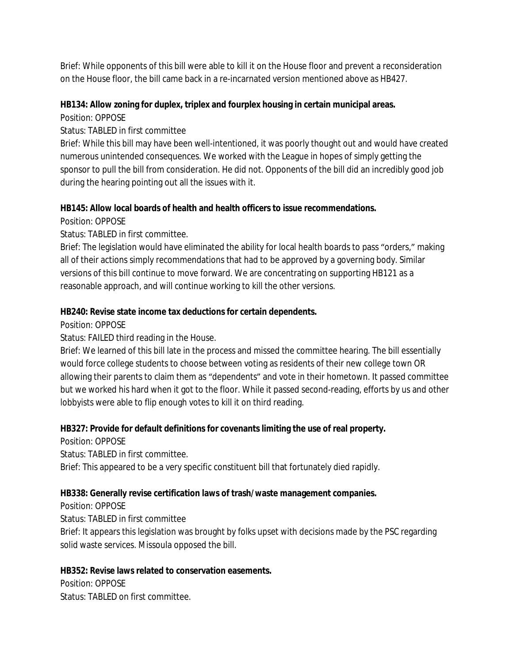Brief: While opponents of this bill were able to kill it on the House floor and prevent a reconsideration on the House floor, the bill came back in a re-incarnated version mentioned above as HB427.

#### **HB134: Allow zoning for duplex, triplex and fourplex housing in certain municipal areas.**

Position: OPPOSE

## Status: TABLED in first committee

Brief: While this bill may have been well-intentioned, it was poorly thought out and would have created numerous unintended consequences. We worked with the League in hopes of simply getting the sponsor to pull the bill from consideration. He did not. Opponents of the bill did an incredibly good job during the hearing pointing out all the issues with it.

## **HB145: Allow local boards of health and health officers to issue recommendations.**

Position: OPPOSE

Status: TABLED in first committee.

Brief: The legislation would have eliminated the ability for local health boards to pass "orders," making all of their actions simply recommendations that had to be approved by a governing body. Similar versions of this bill continue to move forward. We are concentrating on supporting HB121 as a reasonable approach, and will continue working to kill the other versions.

## **HB240: Revise state income tax deductions for certain dependents.**

Position: OPPOSE

Status: FAILED third reading in the House.

Brief: We learned of this bill late in the process and missed the committee hearing. The bill essentially would force college students to choose between voting as residents of their new college town OR allowing their parents to claim them as "dependents" and vote in their hometown. It passed committee but we worked his hard when it got to the floor. While it passed second-reading, efforts by us and other lobbyists were able to flip enough votes to kill it on third reading.

# **HB327: Provide for default definitions for covenants limiting the use of real property.**

Position: OPPOSE Status: TABLED in first committee. Brief: This appeared to be a very specific constituent bill that fortunately died rapidly.

# **HB338: Generally revise certification laws of trash/waste management companies.**

Position: OPPOSE

Status: TABLED in first committee

Brief: It appears this legislation was brought by folks upset with decisions made by the PSC regarding solid waste services. Missoula opposed the bill.

#### **HB352: Revise laws related to conservation easements.**

Position: OPPOSE Status: TABLED on first committee.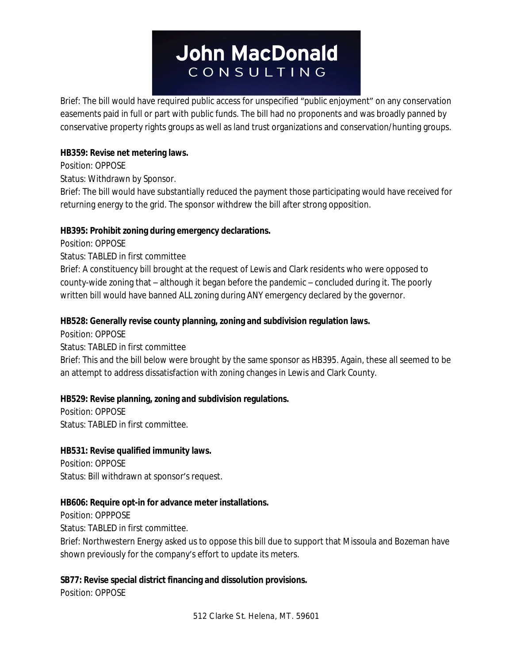Brief: The bill would have required public access for unspecified "public enjoyment" on any conservation easements paid in full or part with public funds. The bill had no proponents and was broadly panned by conservative property rights groups as well as land trust organizations and conservation/hunting groups.

#### **HB359: Revise net metering laws.**

## Position: OPPOSE

Status: Withdrawn by Sponsor.

Brief: The bill would have substantially reduced the payment those participating would have received for returning energy to the grid. The sponsor withdrew the bill after strong opposition.

## **HB395: Prohibit zoning during emergency declarations.**

Position: OPPOSE

Status: TABLED in first committee

Brief: A constituency bill brought at the request of Lewis and Clark residents who were opposed to county-wide zoning that – although it began before the pandemic – concluded during it. The poorly written bill would have banned ALL zoning during ANY emergency declared by the governor.

## **HB528: Generally revise county planning, zoning and subdivision regulation laws.**

Position: OPPOSE

Status: TABLED in first committee

Brief: This and the bill below were brought by the same sponsor as HB395. Again, these all seemed to be an attempt to address dissatisfaction with zoning changes in Lewis and Clark County.

# **HB529: Revise planning, zoning and subdivision regulations.**

Position: OPPOSE Status: TABLED in first committee.

#### **HB531: Revise qualified immunity laws.**

Position: OPPOSE Status: Bill withdrawn at sponsor's request.

# **HB606: Require opt-in for advance meter installations.**

Position: OPPPOSE Status: TABLED in first committee.

Brief: Northwestern Energy asked us to oppose this bill due to support that Missoula and Bozeman have shown previously for the company's effort to update its meters.

# **SB77: Revise special district financing and dissolution provisions.**

Position: OPPOSE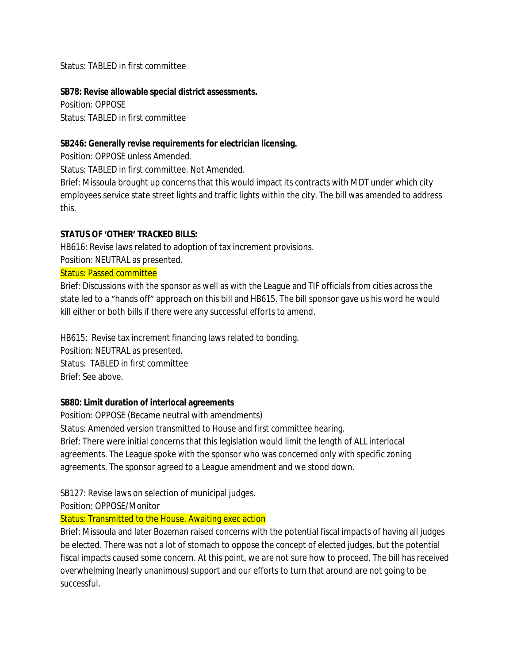Status: TABLED in first committee

#### **SB78: Revise allowable special district assessments.**

Position: OPPOSE Status: TABLED in first committee

#### **SB246: Generally revise requirements for electrician licensing.**

Position: OPPOSE unless Amended.

Status: TABLED in first committee. Not Amended.

Brief: Missoula brought up concerns that this would impact its contracts with MDT under which city employees service state street lights and traffic lights within the city. The bill was amended to address this.

#### **STATUS OF 'OTHER' TRACKED BILLS:**

HB616: Revise laws related to adoption of tax increment provisions.

Position: NEUTRAL as presented.

#### Status: Passed committee

Brief: Discussions with the sponsor as well as with the League and TIF officials from cities across the state led to a "hands off" approach on this bill and HB615. The bill sponsor gave us his word he would kill either or both bills if there were any successful efforts to amend.

HB615: Revise tax increment financing laws related to bonding. Position: NEUTRAL as presented. Status: TABLED in first committee Brief: See above.

#### **SB80: Limit duration of interlocal agreements**

Position: OPPOSE (Became neutral with amendments) Status: Amended version transmitted to House and first committee hearing. Brief: There were initial concerns that this legislation would limit the length of ALL interlocal agreements. The League spoke with the sponsor who was concerned only with specific zoning agreements. The sponsor agreed to a League amendment and we stood down.

SB127: Revise laws on selection of municipal judges.

Position: OPPOSE/Monitor

#### Status: Transmitted to the House. Awaiting exec action

Brief: Missoula and later Bozeman raised concerns with the potential fiscal impacts of having all judges be elected. There was not a lot of stomach to oppose the concept of elected judges, but the potential fiscal impacts caused some concern. At this point, we are not sure how to proceed. The bill has received overwhelming (nearly unanimous) support and our efforts to turn that around are not going to be successful.